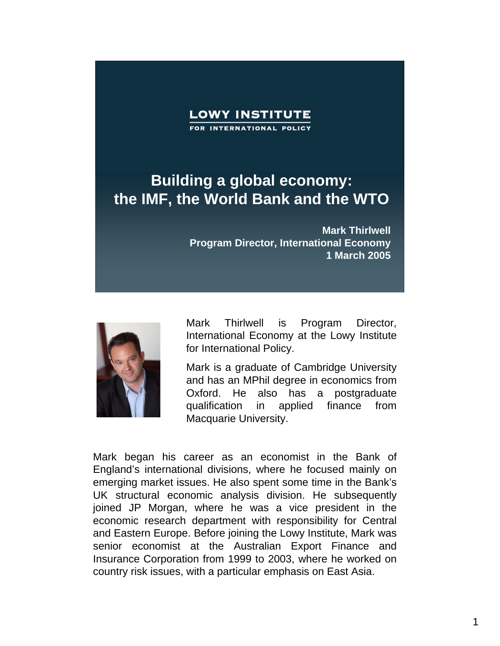## **Building a global economy: the IMF, the World Bank and the WTO**

**Mark Thirlwell Program Director, International Economy 1 March 2005**



Mark Thirlwell is Program Director, International Economy at the Lowy Institute for International Policy.

Mark is a graduate of Cambridge University and has an MPhil degree in economics from Oxford. He also has a postgraduate qualification in applied finance from Macquarie University.

Mark began his career as an economist in the Bank of England's international divisions, where he focused mainly on emerging market issues. He also spent some time in the Bank's UK structural economic analysis division. He subsequently joined JP Morgan, where he was a vice president in the economic research department with responsibility for Central and Eastern Europe. Before joining the Lowy Institute, Mark was senior economist at the Australian Export Finance and Insurance Corporation from 1999 to 2003, where he worked on country risk issues, with a particular emphasis on East Asia.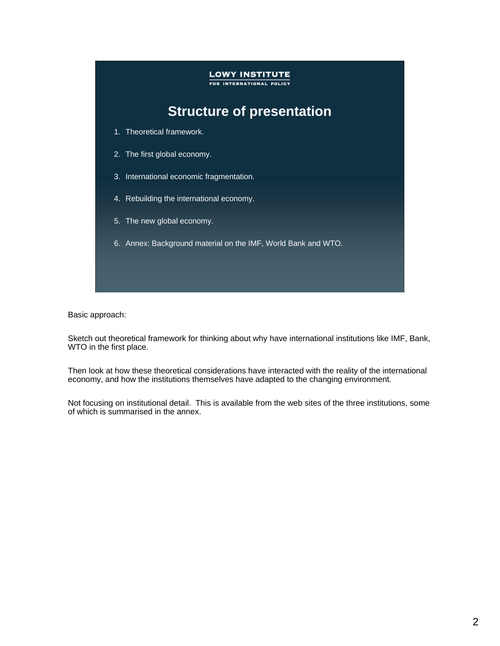# **LOWY INSTITUTE** FOR INTERNATIONAL POLICY **Structure of presentation** 1. Theoretical framework. 2. The first global economy. 3. International economic fragmentation. 4. Rebuilding the international economy. 5. The new global economy. 6. Annex: Background material on the IMF, World Bank and WTO.

Basic approach:

Sketch out theoretical framework for thinking about why have international institutions like IMF, Bank, WTO in the first place.

Then look at how these theoretical considerations have interacted with the reality of the international economy, and how the institutions themselves have adapted to the changing environment.

Not focusing on institutional detail. This is available from the web sites of the three institutions, some of which is summarised in the annex.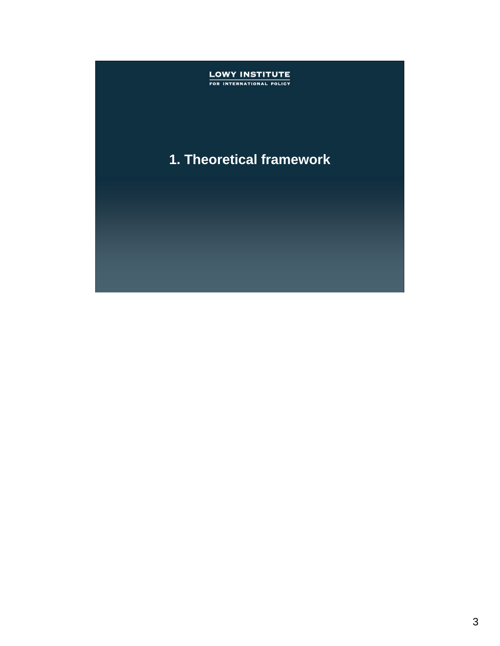## **LOWY INSTITUTE**<br>FOR INTERNATIONAL POLICY

### **1. Theoretical framework**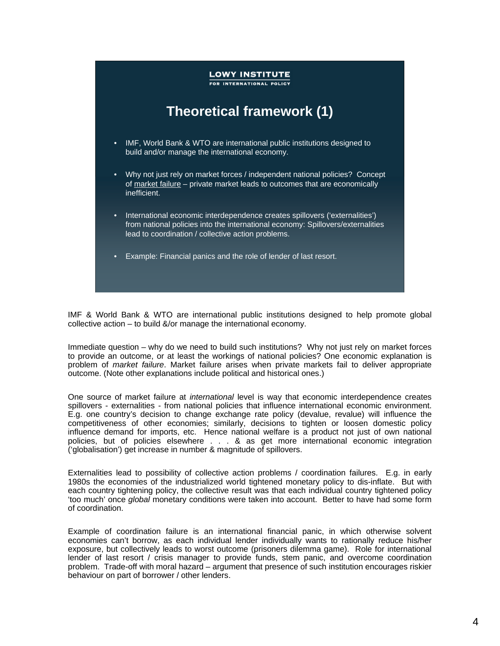

IMF & World Bank & WTO are international public institutions designed to help promote global collective action – to build &/or manage the international economy.

Immediate question – why do we need to build such institutions? Why not just rely on market forces to provide an outcome, or at least the workings of national policies? One economic explanation is problem of *market failure*. Market failure arises when private markets fail to deliver appropriate outcome. (Note other explanations include political and historical ones.)

One source of market failure at *international* level is way that economic interdependence creates spillovers - externalities - from national policies that influence international economic environment. E.g. one country's decision to change exchange rate policy (devalue, revalue) will influence the competitiveness of other economies; similarly, decisions to tighten or loosen domestic policy influence demand for imports, etc. Hence national welfare is a product not just of own national policies, but of policies elsewhere . . . & as get more international economic integration ('globalisation') get increase in number & magnitude of spillovers.

Externalities lead to possibility of collective action problems / coordination failures. E.g. in early 1980s the economies of the industrialized world tightened monetary policy to dis-inflate. But with each country tightening policy, the collective result was that each individual country tightened policy 'too much' once *global* monetary conditions were taken into account. Better to have had some form of coordination.

Example of coordination failure is an international financial panic, in which otherwise solvent economies can't borrow, as each individual lender individually wants to rationally reduce his/her exposure, but collectively leads to worst outcome (prisoners dilemma game). Role for international lender of last resort / crisis manager to provide funds, stem panic, and overcome coordination problem. Trade-off with moral hazard – argument that presence of such institution encourages riskier behaviour on part of borrower / other lenders.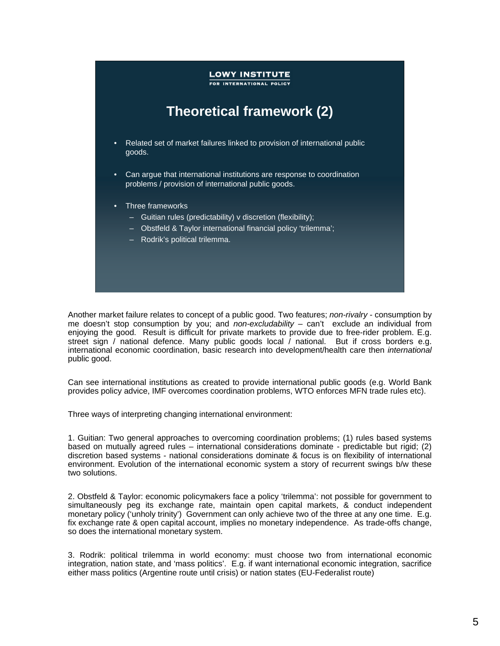## **LOWY INSTITUTE** FOR INTERNATIONAL POLICY **Theoretical framework (2)** • Related set of market failures linked to provision of international public goods. • Can argue that international institutions are response to coordination problems / provision of international public goods. • Three frameworks – Guitian rules (predictability) v discretion (flexibility); – Obstfeld & Taylor international financial policy 'trilemma'; – Rodrik's political trilemma.

Another market failure relates to concept of a public good. Two features; *non-rivalry* - consumption by me doesn't stop consumption by you; and *non-excludability* – can't exclude an individual from enjoying the good. Result is difficult for private markets to provide due to free-rider problem. E.g. street sign / national defence. Many public goods local / national. But if cross borders e.g. international economic coordination, basic research into development/health care then *international* public good.

Can see international institutions as created to provide international public goods (e.g. World Bank provides policy advice, IMF overcomes coordination problems, WTO enforces MFN trade rules etc).

Three ways of interpreting changing international environment:

1. Guitian: Two general approaches to overcoming coordination problems; (1) rules based systems based on mutually agreed rules – international considerations dominate - predictable but rigid; (2) discretion based systems - national considerations dominate & focus is on flexibility of international environment. Evolution of the international economic system a story of recurrent swings b/w these two solutions.

2. Obstfeld & Taylor: economic policymakers face a policy 'trilemma': not possible for government to simultaneously peg its exchange rate, maintain open capital markets, & conduct independent monetary policy ('unholy trinity') Government can only achieve two of the three at any one time. E.g. fix exchange rate & open capital account, implies no monetary independence. As trade-offs change, so does the international monetary system.

3. Rodrik: political trilemma in world economy: must choose two from international economic integration, nation state, and 'mass politics'. E.g. if want international economic integration, sacrifice either mass politics (Argentine route until crisis) or nation states (EU-Federalist route)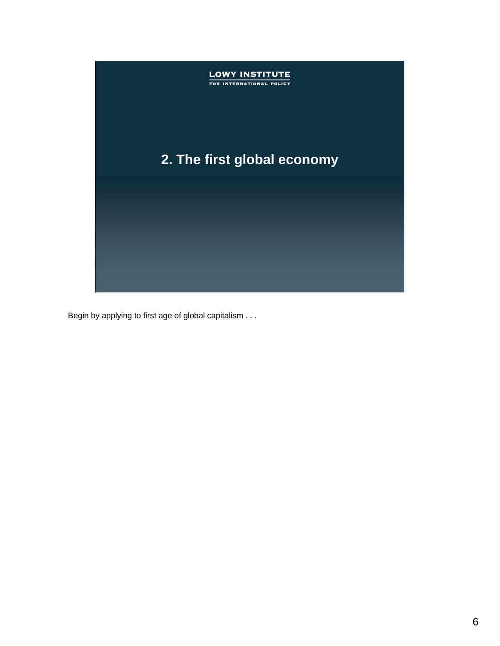

Begin by applying to first age of global capitalism . . .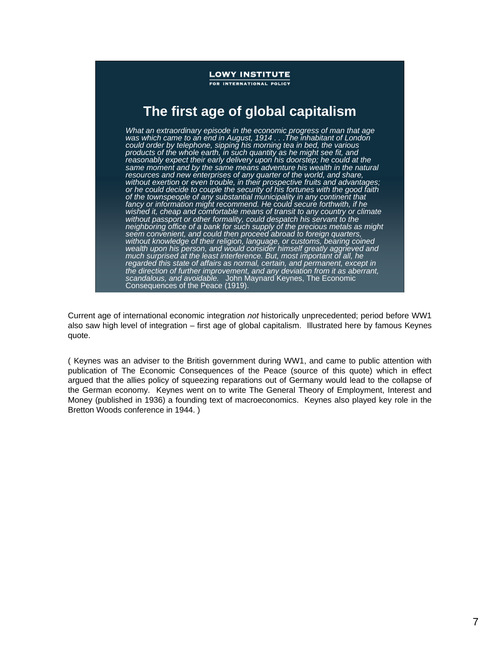FOR INTERNATIONAL POLICY

### **The first age of global capitalism**

*What an extraordinary episode in the economic progress of man that age was which came to an end in August, 1914 . . .The inhabitant of London could order by telephone, sipping his morning tea in bed, the various products of the whole earth, in such quantity as he might see fit, and reasonably expect their early delivery upon his doorstep; he could at the same moment and by the same means adventure his wealth in the natural resources and new enterprises of any quarter of the world, and share, without exertion or even trouble, in their prospective fruits and advantages; or he could decide to couple the security of his fortunes with the good faith of the townspeople of any substantial municipality in any continent that fancy or information might recommend. He could secure forthwith, if he wished it, cheap and comfortable means of transit to any country or climate without passport or other formality, could despatch his servant to the neighboring office of a bank for such supply of the precious metals as might seem convenient, and could then proceed abroad to foreign quarters, without knowledge of their religion, language, or customs, bearing coined wealth upon his person, and would consider himself greatly aggrieved and much surprised at the least interference. But, most important of all, he regarded this state of affairs as normal, certain, and permanent, except in the direction of further improvement, and any deviation from it as aberrant, scandalous, and avoidable.* John Maynard Keynes, The Economic Consequences of the Peace (1919).

Current age of international economic integration *not* historically unprecedented; period before WW1 also saw high level of integration – first age of global capitalism. Illustrated here by famous Keynes quote.

( Keynes was an adviser to the British government during WW1, and came to public attention with publication of The Economic Consequences of the Peace (source of this quote) which in effect argued that the allies policy of squeezing reparations out of Germany would lead to the collapse of the German economy. Keynes went on to write The General Theory of Employment, Interest and Money (published in 1936) a founding text of macroeconomics. Keynes also played key role in the Bretton Woods conference in 1944. )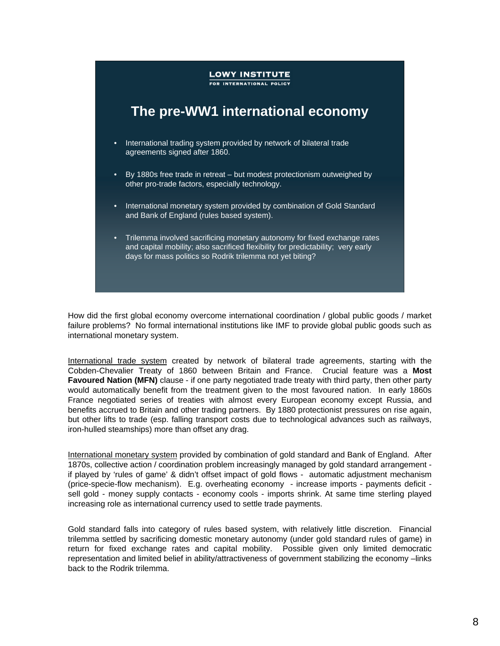## **LOWY INSTITUTE** FOR INTERNATIONAL POLICY **The pre-WW1 international economy** • International trading system provided by network of bilateral trade agreements signed after 1860. • By 1880s free trade in retreat – but modest protectionism outweighed by other pro-trade factors, especially technology. • International monetary system provided by combination of Gold Standard and Bank of England (rules based system). • Trilemma involved sacrificing monetary autonomy for fixed exchange rates and capital mobility; also sacrificed flexibility for predictability; very early days for mass politics so Rodrik trilemma not yet biting?

How did the first global economy overcome international coordination / global public goods / market failure problems? No formal international institutions like IMF to provide global public goods such as international monetary system.

International trade system created by network of bilateral trade agreements, starting with the Cobden-Chevalier Treaty of 1860 between Britain and France. Crucial feature was a **Most Favoured Nation (MFN)** clause - if one party negotiated trade treaty with third party, then other party would automatically benefit from the treatment given to the most favoured nation. In early 1860s France negotiated series of treaties with almost every European economy except Russia, and benefits accrued to Britain and other trading partners. By 1880 protectionist pressures on rise again, but other lifts to trade (esp. falling transport costs due to technological advances such as railways, iron-hulled steamships) more than offset any drag.

International monetary system provided by combination of gold standard and Bank of England. After 1870s, collective action / coordination problem increasingly managed by gold standard arrangement if played by 'rules of game' & didn't offset impact of gold flows - automatic adjustment mechanism (price-specie-flow mechanism). E.g. overheating economy - increase imports - payments deficit sell gold - money supply contacts - economy cools - imports shrink. At same time sterling played increasing role as international currency used to settle trade payments.

Gold standard falls into category of rules based system, with relatively little discretion. Financial trilemma settled by sacrificing domestic monetary autonomy (under gold standard rules of game) in return for fixed exchange rates and capital mobility. Possible given only limited democratic representation and limited belief in ability/attractiveness of government stabilizing the economy –links back to the Rodrik trilemma.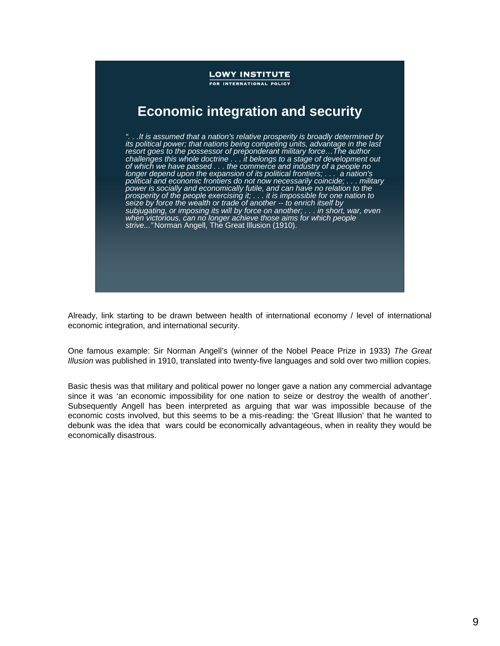

Already, link starting to be drawn between health of international economy / level of international economic integration, and international security.

One famous example: Sir Norman Angell's (winner of the Nobel Peace Prize in 1933) *The Great Illusion* was published in 1910, translated into twenty-five languages and sold over two million copies.

Basic thesis was that military and political power no longer gave a nation any commercial advantage since it was 'an economic impossibility for one nation to seize or destroy the wealth of another'. Subsequently Angell has been interpreted as arguing that war was impossible because of the economic costs involved, but this seems to be a mis-reading: the 'Great Illusion' that he wanted to debunk was the idea that wars could be economically advantageous, when in reality they would be economically disastrous.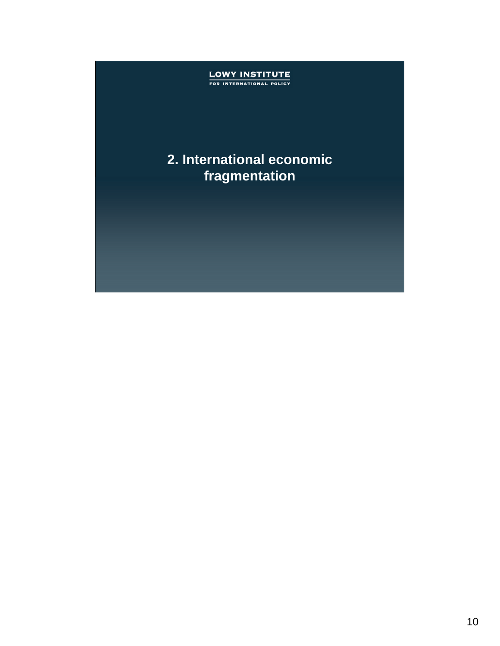## **LOWY INSTITUTE**<br>FOR INTERNATIONAL POLICY

### **2. International economic fragmentation**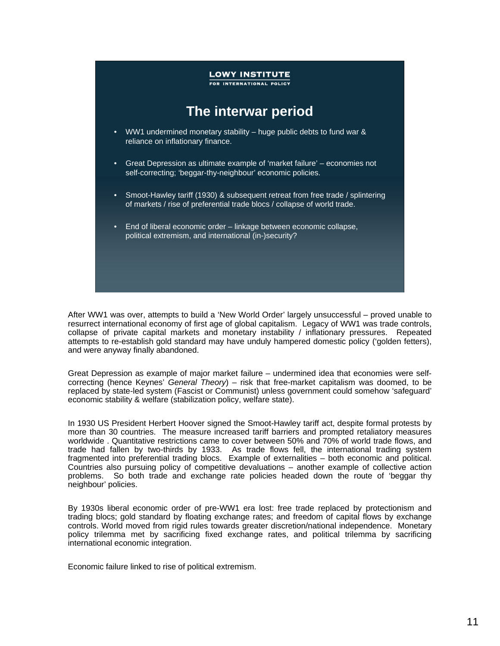

After WW1 was over, attempts to build a 'New World Order' largely unsuccessful – proved unable to resurrect international economy of first age of global capitalism. Legacy of WW1 was trade controls, collapse of private capital markets and monetary instability / inflationary pressures. Repeated attempts to re-establish gold standard may have unduly hampered domestic policy ('golden fetters), and were anyway finally abandoned.

Great Depression as example of major market failure – undermined idea that economies were selfcorrecting (hence Keynes' *General Theory*) – risk that free-market capitalism was doomed, to be replaced by state-led system (Fascist or Communist) unless government could somehow 'safeguard' economic stability & welfare (stabilization policy, welfare state).

In 1930 US President Herbert Hoover signed the Smoot-Hawley tariff act, despite formal protests by more than 30 countries. The measure increased tariff barriers and prompted retaliatory measures worldwide . Quantitative restrictions came to cover between 50% and 70% of world trade flows, and trade had fallen by two-thirds by 1933. As trade flows fell, the international trading system fragmented into preferential trading blocs. Example of externalities – both economic and political. Countries also pursuing policy of competitive devaluations – another example of collective action problems. So both trade and exchange rate policies headed down the route of 'beggar thy neighbour' policies.

By 1930s liberal economic order of pre-WW1 era lost: free trade replaced by protectionism and trading blocs; gold standard by floating exchange rates; and freedom of capital flows by exchange controls. World moved from rigid rules towards greater discretion/national independence. Monetary policy trilemma met by sacrificing fixed exchange rates, and political trilemma by sacrificing international economic integration.

Economic failure linked to rise of political extremism.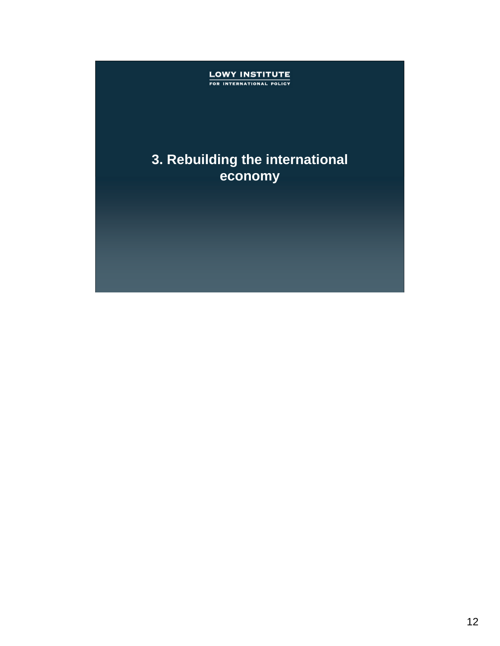## **LOWY INSTITUTE**<br>FOR INTERNATIONAL POLICY

### **3. Rebuilding the international economy**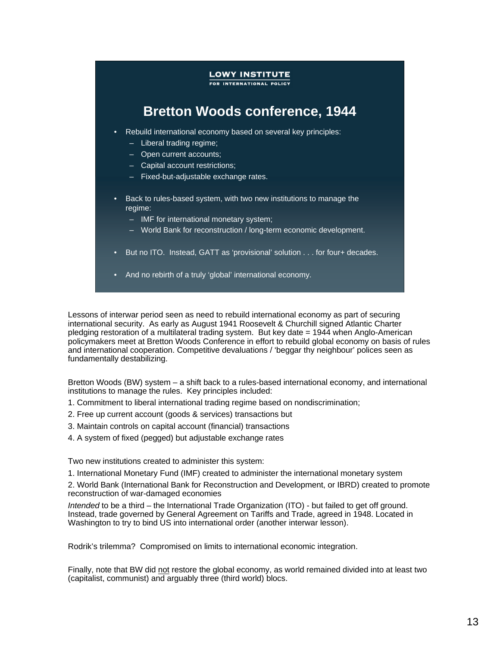FOR INTERNATIONAL POLICY

### **Bretton Woods conference, 1944**

- Rebuild international economy based on several key principles:
	- Liberal trading regime;
	- Open current accounts;
	- Capital account restrictions;
	- Fixed-but-adjustable exchange rates.
- Back to rules-based system, with two new institutions to manage the regime:
	- IMF for international monetary system;
	- World Bank for reconstruction / long-term economic development.
- But no ITO. Instead, GATT as 'provisional' solution . . . for four+ decades.
- And no rebirth of a truly 'global' international economy.

Lessons of interwar period seen as need to rebuild international economy as part of securing international security. As early as August 1941 Roosevelt & Churchill signed Atlantic Charter pledging restoration of a multilateral trading system. But key date = 1944 when Anglo-American policymakers meet at Bretton Woods Conference in effort to rebuild global economy on basis of rules and international cooperation. Competitive devaluations / 'beggar thy neighbour' polices seen as fundamentally destabilizing.

Bretton Woods (BW) system – a shift back to a rules-based international economy, and international institutions to manage the rules. Key principles included:

- 1. Commitment to liberal international trading regime based on nondiscrimination;
- 2. Free up current account (goods & services) transactions but
- 3. Maintain controls on capital account (financial) transactions
- 4. A system of fixed (pegged) but adjustable exchange rates

Two new institutions created to administer this system:

1. International Monetary Fund (IMF) created to administer the international monetary system

2. World Bank (International Bank for Reconstruction and Development, or IBRD) created to promote reconstruction of war-damaged economies

*Intended* to be a third – the International Trade Organization (ITO) - but failed to get off ground. Instead, trade governed by General Agreement on Tariffs and Trade, agreed in 1948. Located in Washington to try to bind US into international order (another interwar lesson).

Rodrik's trilemma? Compromised on limits to international economic integration.

Finally, note that BW did not restore the global economy, as world remained divided into at least two (capitalist, communist) and arguably three (third world) blocs.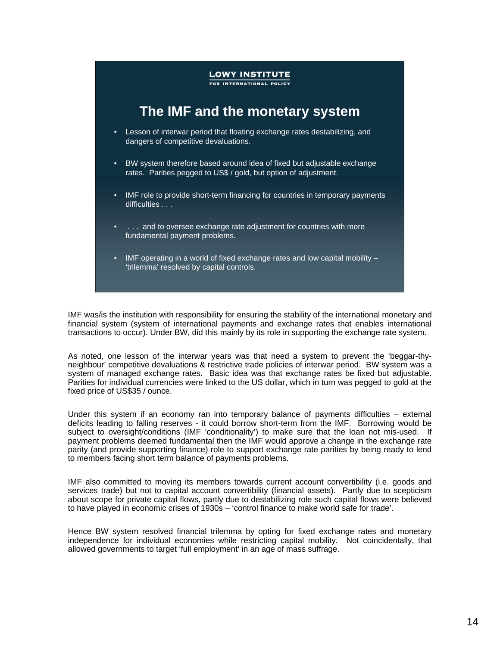

IMF was/is the institution with responsibility for ensuring the stability of the international monetary and financial system (system of international payments and exchange rates that enables international transactions to occur). Under BW, did this mainly by its role in supporting the exchange rate system.

As noted, one lesson of the interwar years was that need a system to prevent the 'beggar-thyneighbour' competitive devaluations & restrictive trade policies of interwar period. BW system was a system of managed exchange rates. Basic idea was that exchange rates be fixed but adjustable. Parities for individual currencies were linked to the US dollar, which in turn was pegged to gold at the fixed price of US\$35 / ounce.

Under this system if an economy ran into temporary balance of payments difficulties – external deficits leading to falling reserves - it could borrow short-term from the IMF. Borrowing would be subject to oversight/conditions (IMF 'conditionality') to make sure that the loan not mis-used. If payment problems deemed fundamental then the IMF would approve a change in the exchange rate parity (and provide supporting finance) role to support exchange rate parities by being ready to lend to members facing short term balance of payments problems.

IMF also committed to moving its members towards current account convertibility (i.e. goods and services trade) but not to capital account convertibility (financial assets). Partly due to scepticism about scope for private capital flows, partly due to destabilizing role such capital flows were believed to have played in economic crises of 1930s – 'control finance to make world safe for trade'.

Hence BW system resolved financial trilemma by opting for fixed exchange rates and monetary independence for individual economies while restricting capital mobility. Not coincidentally, that allowed governments to target 'full employment' in an age of mass suffrage.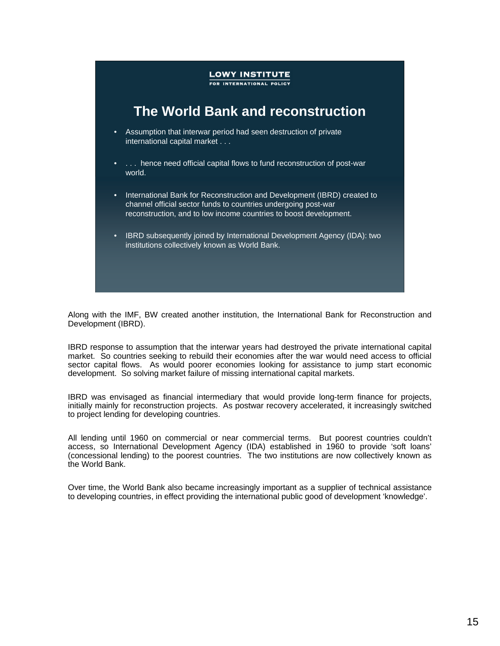

Along with the IMF, BW created another institution, the International Bank for Reconstruction and Development (IBRD).

IBRD response to assumption that the interwar years had destroyed the private international capital market. So countries seeking to rebuild their economies after the war would need access to official sector capital flows. As would poorer economies looking for assistance to jump start economic development. So solving market failure of missing international capital markets.

IBRD was envisaged as financial intermediary that would provide long-term finance for projects, initially mainly for reconstruction projects. As postwar recovery accelerated, it increasingly switched to project lending for developing countries.

All lending until 1960 on commercial or near commercial terms. But poorest countries couldn't access, so International Development Agency (IDA) established in 1960 to provide 'soft loans' (concessional lending) to the poorest countries. The two institutions are now collectively known as the World Bank.

Over time, the World Bank also became increasingly important as a supplier of technical assistance to developing countries, in effect providing the international public good of development 'knowledge'.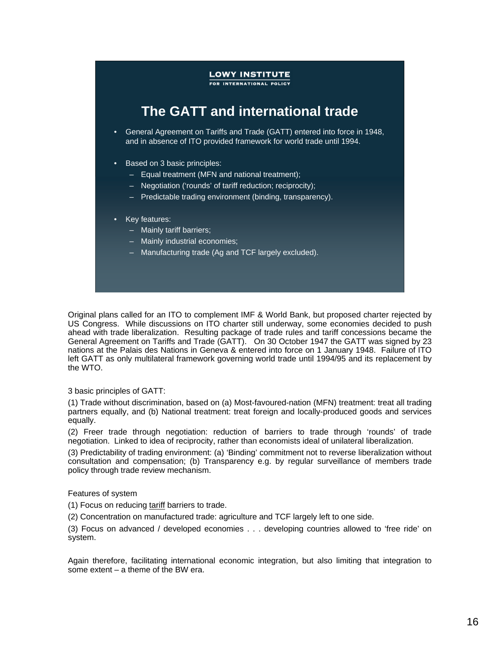FOR INTERNATIONAL POLICY

### **The GATT and international trade**

- General Agreement on Tariffs and Trade (GATT) entered into force in 1948, and in absence of ITO provided framework for world trade until 1994.
- Based on 3 basic principles:
	- Equal treatment (MFN and national treatment);
	- Negotiation ('rounds' of tariff reduction; reciprocity);
	- Predictable trading environment (binding, transparency).
- Key features:
	- Mainly tariff barriers;
	- Mainly industrial economies;
	- Manufacturing trade (Ag and TCF largely excluded).

Original plans called for an ITO to complement IMF & World Bank, but proposed charter rejected by US Congress. While discussions on ITO charter still underway, some economies decided to push ahead with trade liberalization. Resulting package of trade rules and tariff concessions became the General Agreement on Tariffs and Trade (GATT). On 30 October 1947 the GATT was signed by 23 nations at the Palais des Nations in Geneva & entered into force on 1 January 1948. Failure of ITO left GATT as only multilateral framework governing world trade until 1994/95 and its replacement by the WTO.

#### 3 basic principles of GATT:

(1) Trade without discrimination, based on (a) Most-favoured-nation (MFN) treatment: treat all trading partners equally, and (b) National treatment: treat foreign and locally-produced goods and services equally.

(2) Freer trade through negotiation: reduction of barriers to trade through 'rounds' of trade negotiation. Linked to idea of reciprocity, rather than economists ideal of unilateral liberalization.

(3) Predictability of trading environment: (a) 'Binding' commitment not to reverse liberalization without consultation and compensation; (b) Transparency e.g. by regular surveillance of members trade policy through trade review mechanism.

#### Features of system

(1) Focus on reducing tariff barriers to trade.

(2) Concentration on manufactured trade: agriculture and TCF largely left to one side.

(3) Focus on advanced / developed economies . . . developing countries allowed to 'free ride' on system.

Again therefore, facilitating international economic integration, but also limiting that integration to some extent – a theme of the BW era.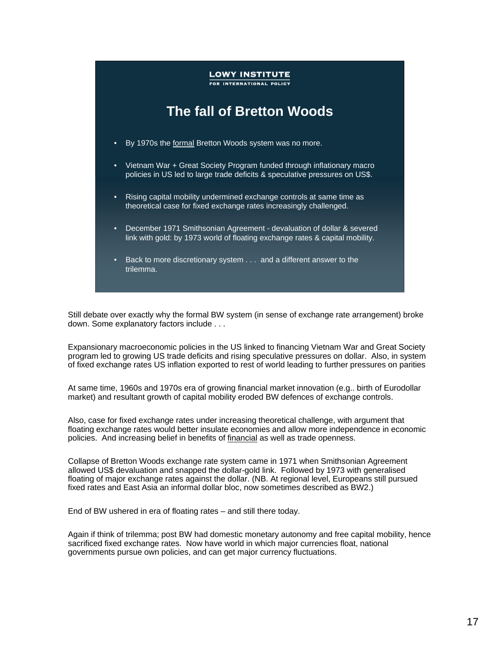

Still debate over exactly why the formal BW system (in sense of exchange rate arrangement) broke down. Some explanatory factors include . . .

Expansionary macroeconomic policies in the US linked to financing Vietnam War and Great Society program led to growing US trade deficits and rising speculative pressures on dollar. Also, in system of fixed exchange rates US inflation exported to rest of world leading to further pressures on parities

At same time, 1960s and 1970s era of growing financial market innovation (e.g.. birth of Eurodollar market) and resultant growth of capital mobility eroded BW defences of exchange controls.

Also, case for fixed exchange rates under increasing theoretical challenge, with argument that floating exchange rates would better insulate economies and allow more independence in economic policies. And increasing belief in benefits of financial as well as trade openness.

Collapse of Bretton Woods exchange rate system came in 1971 when Smithsonian Agreement allowed US\$ devaluation and snapped the dollar-gold link. Followed by 1973 with generalised floating of major exchange rates against the dollar. (NB. At regional level, Europeans still pursued fixed rates and East Asia an informal dollar bloc, now sometimes described as BW2.)

End of BW ushered in era of floating rates – and still there today.

Again if think of trilemma; post BW had domestic monetary autonomy and free capital mobility, hence sacrificed fixed exchange rates. Now have world in which major currencies float, national governments pursue own policies, and can get major currency fluctuations.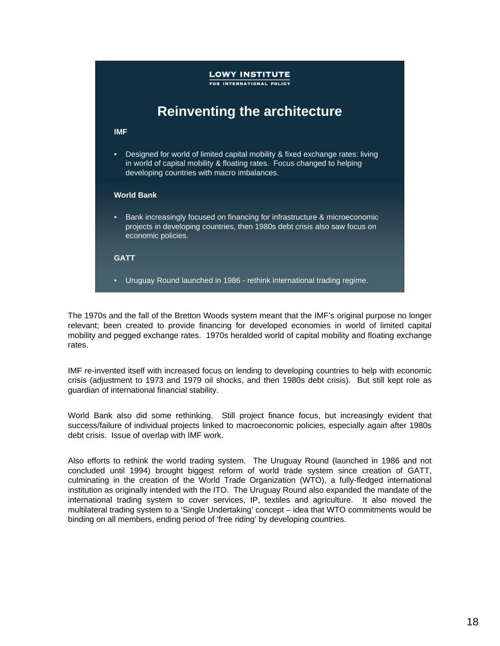## **LOWY INSTITUTE** FOR INTERNATIONAL POLICY **Reinventing the architecture IMF** • Designed for world of limited capital mobility & fixed exchange rates: living in world of capital mobility & floating rates. Focus changed to helping developing countries with macro imbalances. **World Bank** • Bank increasingly focused on financing for infrastructure & microeconomic projects in developing countries, then 1980s debt crisis also saw focus on economic policies. **GATT** • Uruguay Round launched in 1986 - rethink international trading regime.

The 1970s and the fall of the Bretton Woods system meant that the IMF's original purpose no longer relevant; been created to provide financing for developed economies in world of limited capital mobility and pegged exchange rates. 1970s heralded world of capital mobility and floating exchange rates.

IMF re-invented itself with increased focus on lending to developing countries to help with economic crisis (adjustment to 1973 and 1979 oil shocks, and then 1980s debt crisis). But still kept role as guardian of international financial stability.

World Bank also did some rethinking. Still project finance focus, but increasingly evident that success/failure of individual projects linked to macroeconomic policies, especially again after 1980s debt crisis. Issue of overlap with IMF work.

Also efforts to rethink the world trading system. The Uruguay Round (launched in 1986 and not concluded until 1994) brought biggest reform of world trade system since creation of GATT, culminating in the creation of the World Trade Organization (WTO), a fully-fledged international institution as originally intended with the ITO. The Uruguay Round also expanded the mandate of the international trading system to cover services, IP, textiles and agriculture. It also moved the multilateral trading system to a 'Single Undertaking' concept – idea that WTO commitments would be binding on all members, ending period of 'free riding' by developing countries.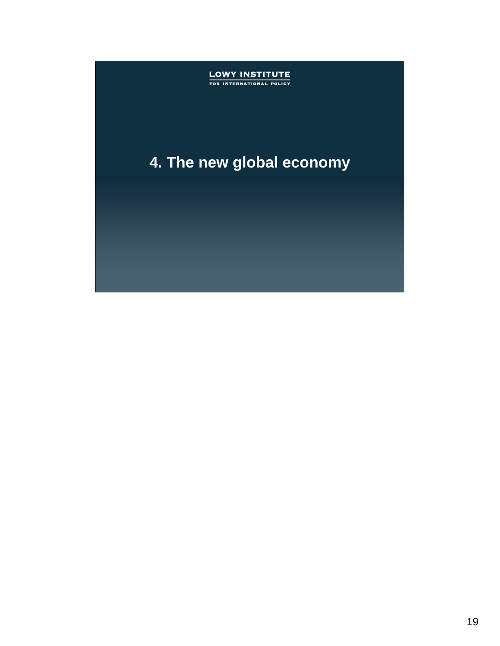## **LOWY INSTITUTE**<br>FOR INTERNATIONAL POLICY

## **4. The new global economy**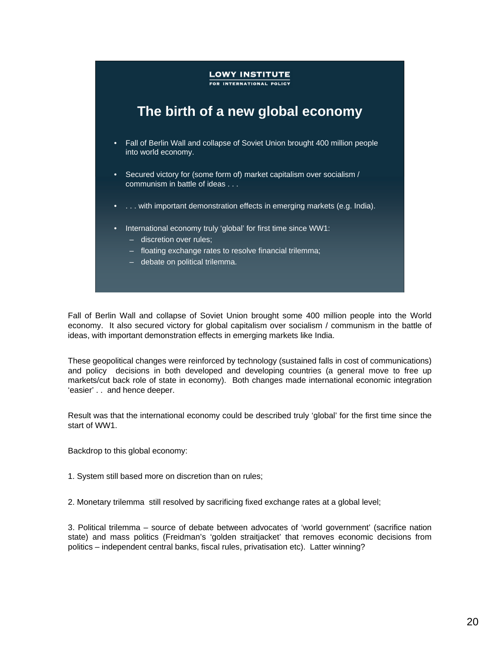FOR INTERNATIONAL POLICY

### **The birth of a new global economy**

- Fall of Berlin Wall and collapse of Soviet Union brought 400 million people into world economy.
- Secured victory for (some form of) market capitalism over socialism / communism in battle of ideas . . .
- ... with important demonstration effects in emerging markets (e.g. India).
- International economy truly 'global' for first time since WW1:
	- discretion over rules;
	- floating exchange rates to resolve financial trilemma;
	- debate on political trilemma.

Fall of Berlin Wall and collapse of Soviet Union brought some 400 million people into the World economy. It also secured victory for global capitalism over socialism / communism in the battle of ideas, with important demonstration effects in emerging markets like India.

These geopolitical changes were reinforced by technology (sustained falls in cost of communications) and policy decisions in both developed and developing countries (a general move to free up markets/cut back role of state in economy). Both changes made international economic integration 'easier' . . and hence deeper.

Result was that the international economy could be described truly 'global' for the first time since the start of WW1.

Backdrop to this global economy:

1. System still based more on discretion than on rules;

2. Monetary trilemma still resolved by sacrificing fixed exchange rates at a global level;

3. Political trilemma – source of debate between advocates of 'world government' (sacrifice nation state) and mass politics (Freidman's 'golden straitjacket' that removes economic decisions from politics – independent central banks, fiscal rules, privatisation etc). Latter winning?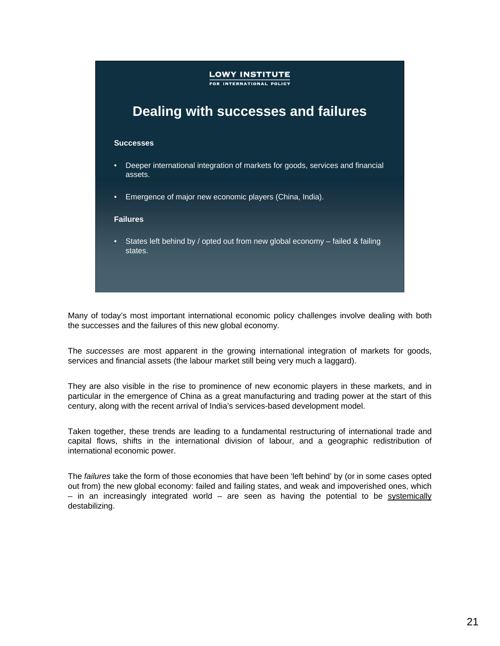

Many of today's most important international economic policy challenges involve dealing with both the successes and the failures of this new global economy.

The *successes* are most apparent in the growing international integration of markets for goods, services and financial assets (the labour market still being very much a laggard).

They are also visible in the rise to prominence of new economic players in these markets, and in particular in the emergence of China as a great manufacturing and trading power at the start of this century, along with the recent arrival of India's services-based development model.

Taken together, these trends are leading to a fundamental restructuring of international trade and capital flows, shifts in the international division of labour, and a geographic redistribution of international economic power.

The *failures* take the form of those economies that have been 'left behind' by (or in some cases opted out from) the new global economy: failed and failing states, and weak and impoverished ones, which  $-$  in an increasingly integrated world  $-$  are seen as having the potential to be systemically destabilizing.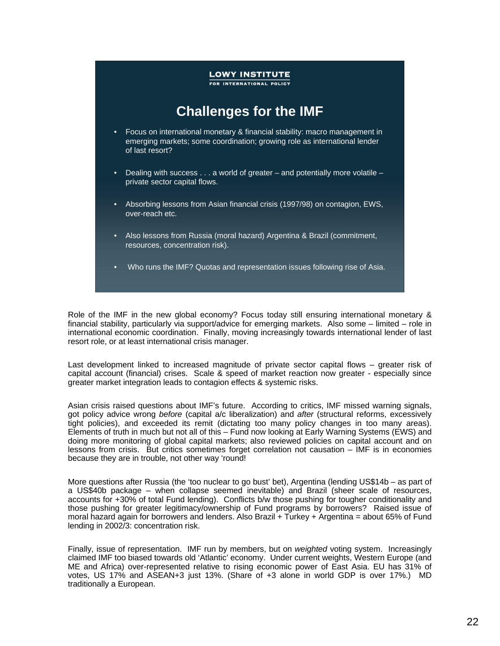### **LOWY INSTITUTE** FOR INTERNATIONAL POLICY **Challenges for the IMF** • Focus on international monetary & financial stability: macro management in emerging markets; some coordination; growing role as international lender of last resort? • Dealing with success . . . a world of greater – and potentially more volatile – private sector capital flows. • Absorbing lessons from Asian financial crisis (1997/98) on contagion, EWS, over-reach etc. • Also lessons from Russia (moral hazard) Argentina & Brazil (commitment, resources, concentration risk). • Who runs the IMF? Quotas and representation issues following rise of Asia.

Role of the IMF in the new global economy? Focus today still ensuring international monetary & financial stability, particularly via support/advice for emerging markets. Also some – limited – role in international economic coordination. Finally, moving increasingly towards international lender of last resort role, or at least international crisis manager.

Last development linked to increased magnitude of private sector capital flows – greater risk of capital account (financial) crises. Scale & speed of market reaction now greater - especially since greater market integration leads to contagion effects & systemic risks.

Asian crisis raised questions about IMF's future. According to critics, IMF missed warning signals, got policy advice wrong *before* (capital a/c liberalization) and *after* (structural reforms, excessively tight policies), and exceeded its remit (dictating too many policy changes in too many areas). Elements of truth in much but not all of this – Fund now looking at Early Warning Systems (EWS) and doing more monitoring of global capital markets; also reviewed policies on capital account and on lessons from crisis. But critics sometimes forget correlation not causation – IMF is in economies because they are in trouble, not other way 'round!

More questions after Russia (the 'too nuclear to go bust' bet), Argentina (lending US\$14b – as part of a US\$40b package – when collapse seemed inevitable) and Brazil (sheer scale of resources, accounts for +30% of total Fund lending). Conflicts b/w those pushing for tougher conditionality and those pushing for greater legitimacy/ownership of Fund programs by borrowers? Raised issue of moral hazard again for borrowers and lenders. Also Brazil + Turkey + Argentina = about 65% of Fund lending in 2002/3: concentration risk.

Finally, issue of representation. IMF run by members, but on *weighted* voting system. Increasingly claimed IMF too biased towards old 'Atlantic' economy. Under current weights, Western Europe (and ME and Africa) over-represented relative to rising economic power of East Asia. EU has 31% of votes, US 17% and ASEAN+3 just 13%. (Share of +3 alone in world GDP is over 17%.) MD traditionally a European.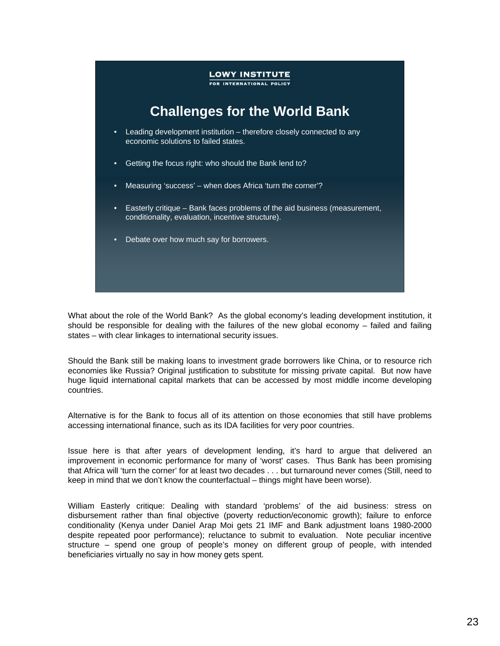

What about the role of the World Bank? As the global economy's leading development institution, it should be responsible for dealing with the failures of the new global economy – failed and failing states – with clear linkages to international security issues.

Should the Bank still be making loans to investment grade borrowers like China, or to resource rich economies like Russia? Original justification to substitute for missing private capital. But now have huge liquid international capital markets that can be accessed by most middle income developing countries.

Alternative is for the Bank to focus all of its attention on those economies that still have problems accessing international finance, such as its IDA facilities for very poor countries.

Issue here is that after years of development lending, it's hard to argue that delivered an improvement in economic performance for many of 'worst' cases. Thus Bank has been promising that Africa will 'turn the corner' for at least two decades . . . but turnaround never comes (Still, need to keep in mind that we don't know the counterfactual – things might have been worse).

William Easterly critique: Dealing with standard 'problems' of the aid business: stress on disbursement rather than final objective (poverty reduction/economic growth); failure to enforce conditionality (Kenya under Daniel Arap Moi gets 21 IMF and Bank adjustment loans 1980-2000 despite repeated poor performance); reluctance to submit to evaluation. Note peculiar incentive structure – spend one group of people's money on different group of people, with intended beneficiaries virtually no say in how money gets spent.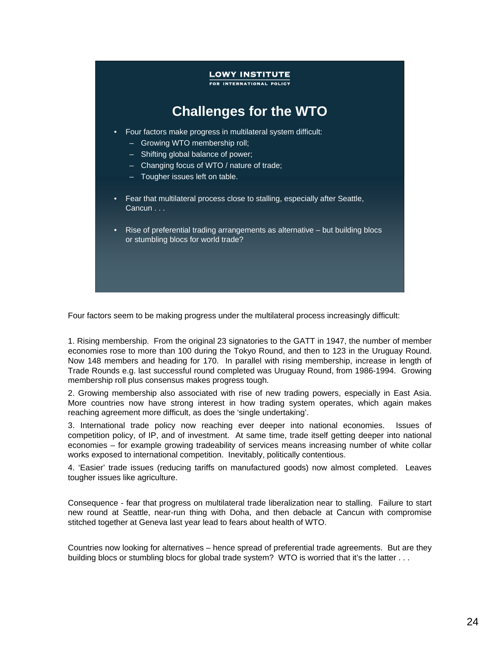### **LOWY INSTITUTE** FOR INTERNATIONAL POLICY **Challenges for the WTO** • Four factors make progress in multilateral system difficult: – Growing WTO membership roll;

- Shifting global balance of power;
- Changing focus of WTO / nature of trade;
- Tougher issues left on table.
- Fear that multilateral process close to stalling, especially after Seattle, Cancun . . .
- Rise of preferential trading arrangements as alternative but building blocs or stumbling blocs for world trade?

Four factors seem to be making progress under the multilateral process increasingly difficult:

1. Rising membership. From the original 23 signatories to the GATT in 1947, the number of member economies rose to more than 100 during the Tokyo Round, and then to 123 in the Uruguay Round. Now 148 members and heading for 170. In parallel with rising membership, increase in length of Trade Rounds e.g. last successful round completed was Uruguay Round, from 1986-1994. Growing membership roll plus consensus makes progress tough.

2. Growing membership also associated with rise of new trading powers, especially in East Asia. More countries now have strong interest in how trading system operates, which again makes reaching agreement more difficult, as does the 'single undertaking'.

3. International trade policy now reaching ever deeper into national economies. Issues of competition policy, of IP, and of investment. At same time, trade itself getting deeper into national economies – for example growing tradeability of services means increasing number of white collar works exposed to international competition. Inevitably, politically contentious.

4. 'Easier' trade issues (reducing tariffs on manufactured goods) now almost completed. Leaves tougher issues like agriculture.

Consequence - fear that progress on multilateral trade liberalization near to stalling. Failure to start new round at Seattle, near-run thing with Doha, and then debacle at Cancun with compromise stitched together at Geneva last year lead to fears about health of WTO.

Countries now looking for alternatives – hence spread of preferential trade agreements. But are they building blocs or stumbling blocs for global trade system? WTO is worried that it's the latter . . .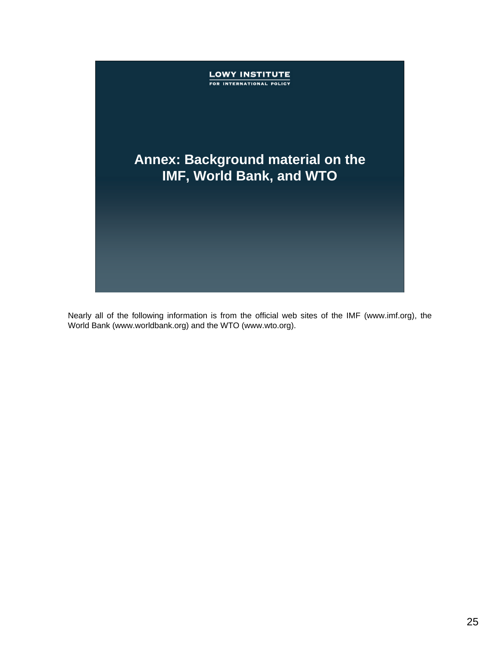

Nearly all of the following information is from the official web sites of the IMF (www.imf.org), the World Bank (www.worldbank.org) and the WTO (www.wto.org).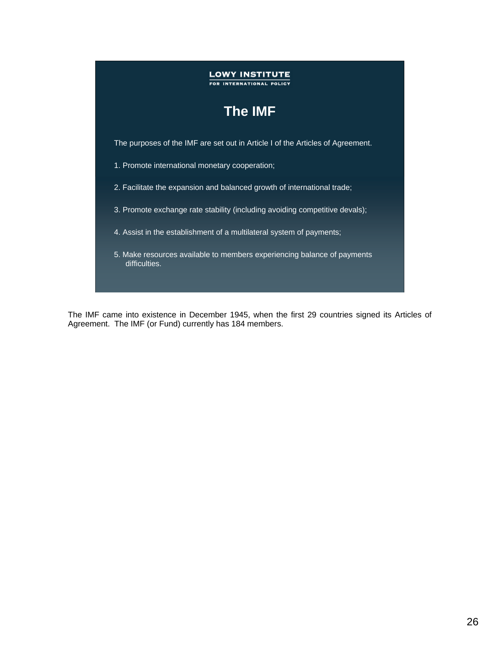

The IMF came into existence in December 1945, when the first 29 countries signed its Articles of Agreement. The IMF (or Fund) currently has 184 members.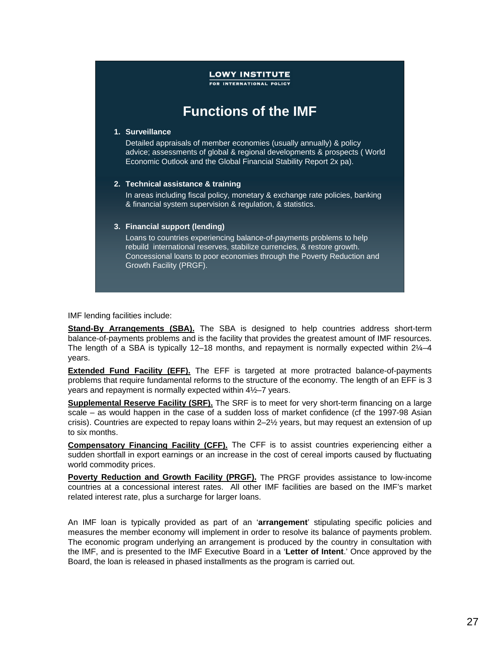FOR INTERNATIONAL POLICY

### **Functions of the IMF**

#### **1. Surveillance**

Detailed appraisals of member economies (usually annually) & policy advice; assessments of global & regional developments & prospects ( World Economic Outlook and the Global Financial Stability Report 2x pa).

#### **2. Technical assistance & training**

In areas including fiscal policy, monetary & exchange rate policies, banking & financial system supervision & regulation, & statistics.

#### **3. Financial support (lending)**

Loans to countries experiencing balance-of-payments problems to help rebuild international reserves, stabilize currencies, & restore growth. Concessional loans to poor economies through the Poverty Reduction and Growth Facility (PRGF).

IMF lending facilities include:

**Stand-By Arrangements (SBA).** The SBA is designed to help countries address short-term balance-of-payments problems and is the facility that provides the greatest amount of IMF resources. The length of a SBA is typically 12–18 months, and repayment is normally expected within  $2\frac{1}{4}$ –4 years.

**Extended Fund Facility (EFF).** The EFF is targeted at more protracted balance-of-payments problems that require fundamental reforms to the structure of the economy. The length of an EFF is 3 years and repayment is normally expected within 4½–7 years.

**Supplemental Reserve Facility (SRF).** The SRF is to meet for very short-term financing on a large scale – as would happen in the case of a sudden loss of market confidence (cf the 1997-98 Asian crisis). Countries are expected to repay loans within 2–2½ years, but may request an extension of up to six months.

**Compensatory Financing Facility (CFF).** The CFF is to assist countries experiencing either a sudden shortfall in export earnings or an increase in the cost of cereal imports caused by fluctuating world commodity prices.

Poverty Reduction and Growth Facility (PRGF). The PRGF provides assistance to low-income countries at a concessional interest rates. All other IMF facilities are based on the IMF's market related interest rate, plus a surcharge for larger loans.

An IMF loan is typically provided as part of an '**arrangement**' stipulating specific policies and measures the member economy will implement in order to resolve its balance of payments problem. The economic program underlying an arrangement is produced by the country in consultation with the IMF, and is presented to the IMF Executive Board in a '**Letter of Intent**.' Once approved by the Board, the loan is released in phased installments as the program is carried out.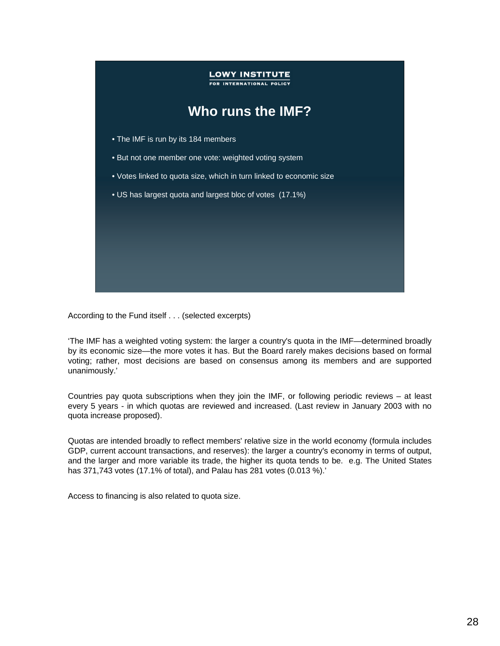

According to the Fund itself . . . (selected excerpts)

'The IMF has a weighted voting system: the larger a country's quota in the IMF—determined broadly by its economic size—the more votes it has. But the Board rarely makes decisions based on formal voting; rather, most decisions are based on consensus among its members and are supported unanimously.'

Countries pay quota subscriptions when they join the IMF, or following periodic reviews – at least every 5 years - in which quotas are reviewed and increased. (Last review in January 2003 with no quota increase proposed).

Quotas are intended broadly to reflect members' relative size in the world economy (formula includes GDP, current account transactions, and reserves): the larger a country's economy in terms of output, and the larger and more variable its trade, the higher its quota tends to be. e.g. The United States has 371,743 votes (17.1% of total), and Palau has 281 votes (0.013 %).'

Access to financing is also related to quota size.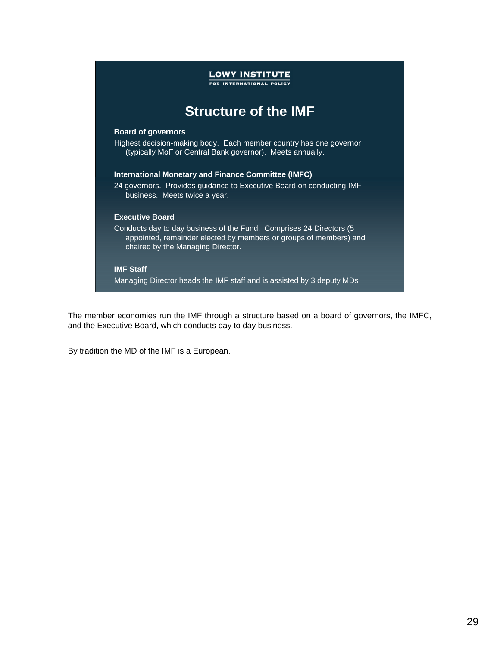

The member economies run the IMF through a structure based on a board of governors, the IMFC, and the Executive Board, which conducts day to day business.

By tradition the MD of the IMF is a European.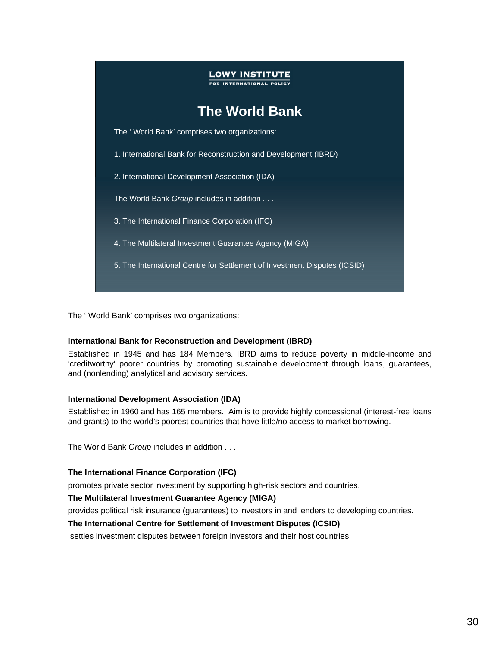

The ' World Bank' comprises two organizations:

### **International Bank for Reconstruction and Development (IBRD)**

Established in 1945 and has 184 Members. IBRD aims to reduce poverty in middle-income and 'creditworthy' poorer countries by promoting sustainable development through loans, guarantees, and (nonlending) analytical and advisory services.

### **International Development Association (IDA)**

Established in 1960 and has 165 members. Aim is to provide highly concessional (interest-free loans and grants) to the world's poorest countries that have little/no access to market borrowing.

The World Bank *Group* includes in addition . . .

### **The International Finance Corporation (IFC)**

promotes private sector investment by supporting high-risk sectors and countries.

### **The Multilateral Investment Guarantee Agency (MIGA)**

provides political risk insurance (guarantees) to investors in and lenders to developing countries.

### **The International Centre for Settlement of Investment Disputes (ICSID)**

settles investment disputes between foreign investors and their host countries.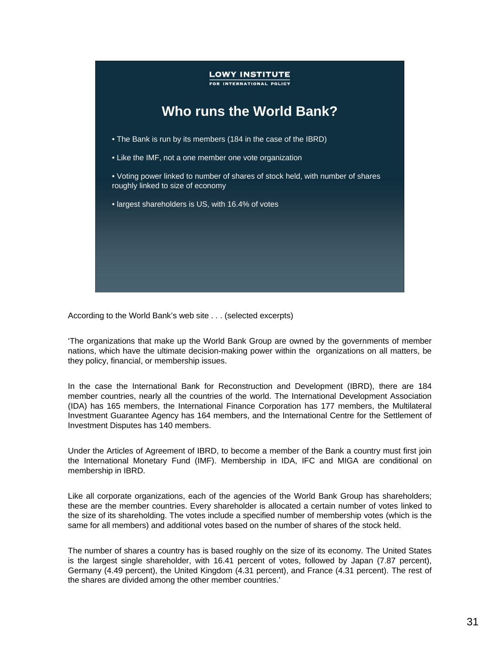

According to the World Bank's web site . . . (selected excerpts)

'The organizations that make up the World Bank Group are owned by the governments of member nations, which have the ultimate decision-making power within the organizations on all matters, be they policy, financial, or membership issues.

In the case the International Bank for Reconstruction and Development (IBRD), there are 184 member countries, nearly all the countries of the world. The International Development Association (IDA) has 165 members, the International Finance Corporation has 177 members, the Multilateral Investment Guarantee Agency has 164 members, and the International Centre for the Settlement of Investment Disputes has 140 members.

Under the Articles of Agreement of IBRD, to become a member of the Bank a country must first join the International Monetary Fund (IMF). Membership in IDA, IFC and MIGA are conditional on membership in IBRD.

Like all corporate organizations, each of the agencies of the World Bank Group has shareholders; these are the member countries. Every shareholder is allocated a certain number of votes linked to the size of its shareholding. The votes include a specified number of membership votes (which is the same for all members) and additional votes based on the number of shares of the stock held.

The number of shares a country has is based roughly on the size of its economy. The United States is the largest single shareholder, with 16.41 percent of votes, followed by Japan (7.87 percent), Germany (4.49 percent), the United Kingdom (4.31 percent), and France (4.31 percent). The rest of the shares are divided among the other member countries.'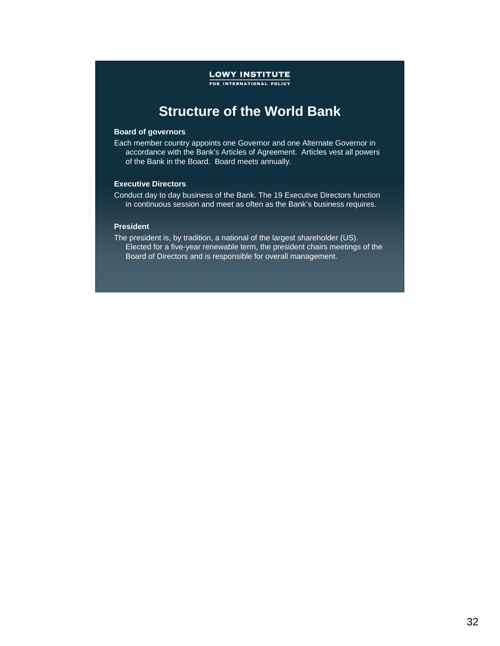FOR INTERNATIONAL POLICY

### **Structure of the World Bank**

#### **Board of governors**

Each member country appoints one Governor and one Alternate Governor in accordance with the Bank's Articles of Agreement. Articles vest all powers of the Bank in the Board. Board meets annually.

#### **Executive Directors**

Conduct day to day business of the Bank. The 19 Executive Directors function in continuous session and meet as often as the Bank's business requires.

#### **President**

The president is, by tradition, a national of the largest shareholder (US). Elected for a five-year renewable term, the president chairs meetings of the Board of Directors and is responsible for overall management.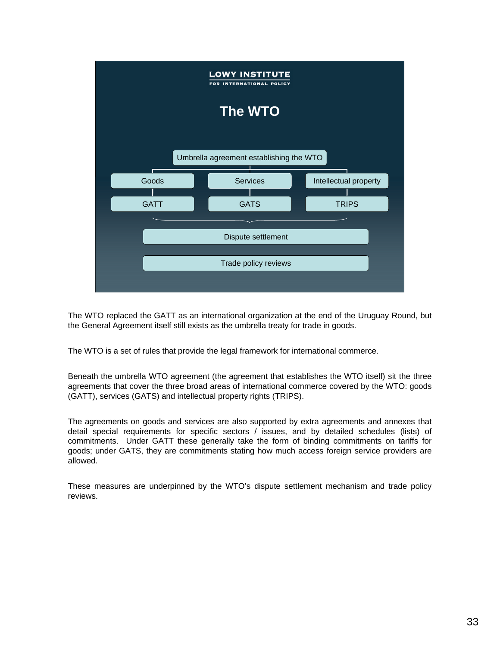

The WTO replaced the GATT as an international organization at the end of the Uruguay Round, but the General Agreement itself still exists as the umbrella treaty for trade in goods.

The WTO is a set of rules that provide the legal framework for international commerce.

Beneath the umbrella WTO agreement (the agreement that establishes the WTO itself) sit the three agreements that cover the three broad areas of international commerce covered by the WTO: goods (GATT), services (GATS) and intellectual property rights (TRIPS).

The agreements on goods and services are also supported by extra agreements and annexes that detail special requirements for specific sectors / issues, and by detailed schedules (lists) of commitments. Under GATT these generally take the form of binding commitments on tariffs for goods; under GATS, they are commitments stating how much access foreign service providers are allowed.

These measures are underpinned by the WTO's dispute settlement mechanism and trade policy reviews.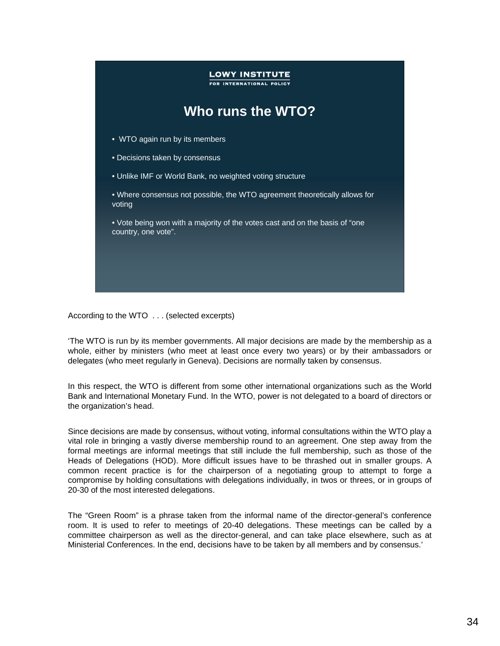

According to the WTO . . . (selected excerpts)

'The WTO is run by its member governments. All major decisions are made by the membership as a whole, either by ministers (who meet at least once every two years) or by their ambassadors or delegates (who meet regularly in Geneva). Decisions are normally taken by consensus.

In this respect, the WTO is different from some other international organizations such as the World Bank and International Monetary Fund. In the WTO, power is not delegated to a board of directors or the organization's head.

Since decisions are made by consensus, without voting, informal consultations within the WTO play a vital role in bringing a vastly diverse membership round to an agreement. One step away from the formal meetings are informal meetings that still include the full membership, such as those of the Heads of Delegations (HOD). More difficult issues have to be thrashed out in smaller groups. A common recent practice is for the chairperson of a negotiating group to attempt to forge a compromise by holding consultations with delegations individually, in twos or threes, or in groups of 20-30 of the most interested delegations.

The "Green Room" is a phrase taken from the informal name of the director-general's conference room. It is used to refer to meetings of 20-40 delegations. These meetings can be called by a committee chairperson as well as the director-general, and can take place elsewhere, such as at Ministerial Conferences. In the end, decisions have to be taken by all members and by consensus.'